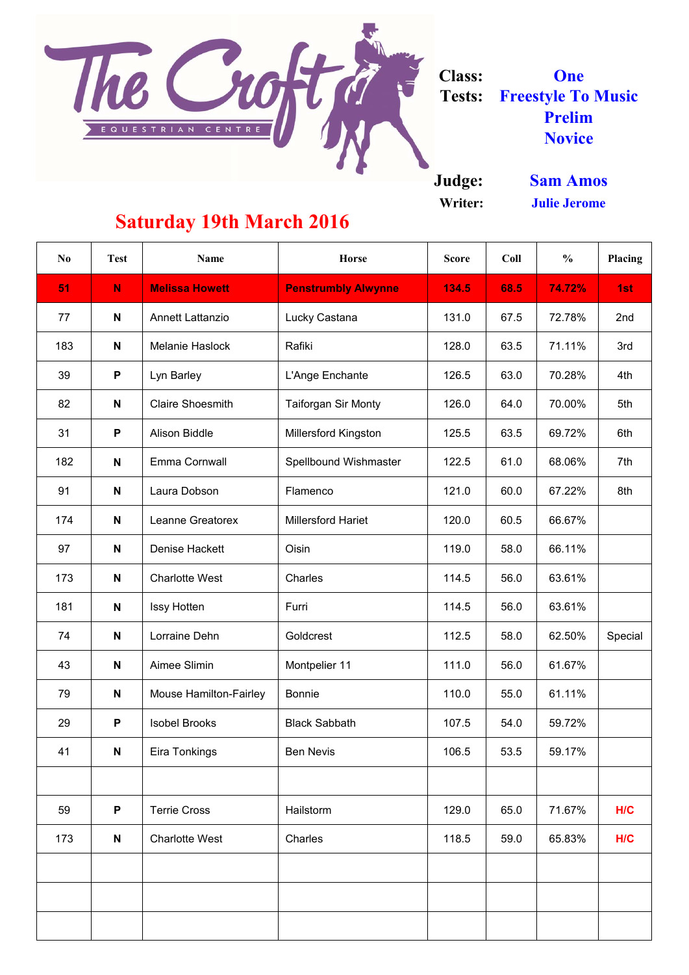**Judge:**

**Writer:**

The Croft **Class: One Tests: Freestyle To Music Prelim** EQUESTRIAN CENTRE **Novice**

| N <sub>0</sub> | <b>Test</b> | <b>Name</b>                   | <b>Horse</b>                 | <b>Score</b> | Coll | $\frac{0}{0}$ | <b>Placing</b> |
|----------------|-------------|-------------------------------|------------------------------|--------------|------|---------------|----------------|
| 51             | N           | <b>Melissa Howett</b>         | <b>Penstrumbly Alwynne</b>   | 134.5        | 68.5 | 74.72%        | 1st            |
| 77             | N           | <b>Annett Lattanzio</b>       | Lucky Castana                | 131.0        | 67.5 | 72.78%        | 2nd            |
| 183            | N           | <b>Melanie Haslock</b>        | Rafiki                       | 128.0        | 63.5 | 71.11%        | 3rd            |
| 39             | P           | Lyn Barley                    | L'Ange Enchante              | 126.5        | 63.0 | 70.28%        | 4th            |
| 82             | N           | <b>Claire Shoesmith</b>       | <b>Taiforgan Sir Monty</b>   | 126.0        | 64.0 | 70.00%        | 5th            |
| 31             | P           | <b>Alison Biddle</b>          | <b>Millersford Kingston</b>  | 125.5        | 63.5 | 69.72%        | 6th            |
| 182            | N           | <b>Emma Cornwall</b>          | <b>Spellbound Wishmaster</b> | 122.5        | 61.0 | 68.06%        | 7th            |
| 91             | N           | Laura Dobson                  | Flamenco                     | 121.0        | 60.0 | 67.22%        | 8th            |
| 174            | N           | Leanne Greatorex              | <b>Millersford Hariet</b>    | 120.0        | 60.5 | 66.67%        |                |
| 97             | N           | <b>Denise Hackett</b>         | Oisin                        | 119.0        | 58.0 | 66.11%        |                |
| 173            | N           | <b>Charlotte West</b>         | Charles                      | 114.5        | 56.0 | 63.61%        |                |
| 181            | N           | Issy Hotten                   | Furri                        | 114.5        | 56.0 | 63.61%        |                |
| 74             | N           | Lorraine Dehn                 | Goldcrest                    | 112.5        | 58.0 | 62.50%        | Special        |
| 43             | N           | Aimee Slimin                  | Montpelier 11                | 111.0        | 56.0 | 61.67%        |                |
| 79             | N           | <b>Mouse Hamilton-Fairley</b> | <b>Bonnie</b>                | 110.0        | 55.0 | 61.11%        |                |
| 29             | P           | <b>Isobel Brooks</b>          | <b>Black Sabbath</b>         | 107.5        | 54.0 | 59.72%        |                |
| 41             | N           | Eira Tonkings                 | <b>Ben Nevis</b>             | 106.5        | 53.5 | 59.17%        |                |
|                |             |                               |                              |              |      |               |                |
| 59             | P           | <b>Terrie Cross</b>           | Hailstorm                    | 129.0        | 65.0 | 71.67%        | H/C            |
| 173            | N           | <b>Charlotte West</b>         | Charles                      | 118.5        | 59.0 | 65.83%        | H/C            |
|                |             |                               |                              |              |      |               |                |
|                |             |                               |                              |              |      |               |                |
|                |             |                               |                              |              |      |               |                |

**Sam Amos Julie Jerome**

## **Saturday 19th March 2016**